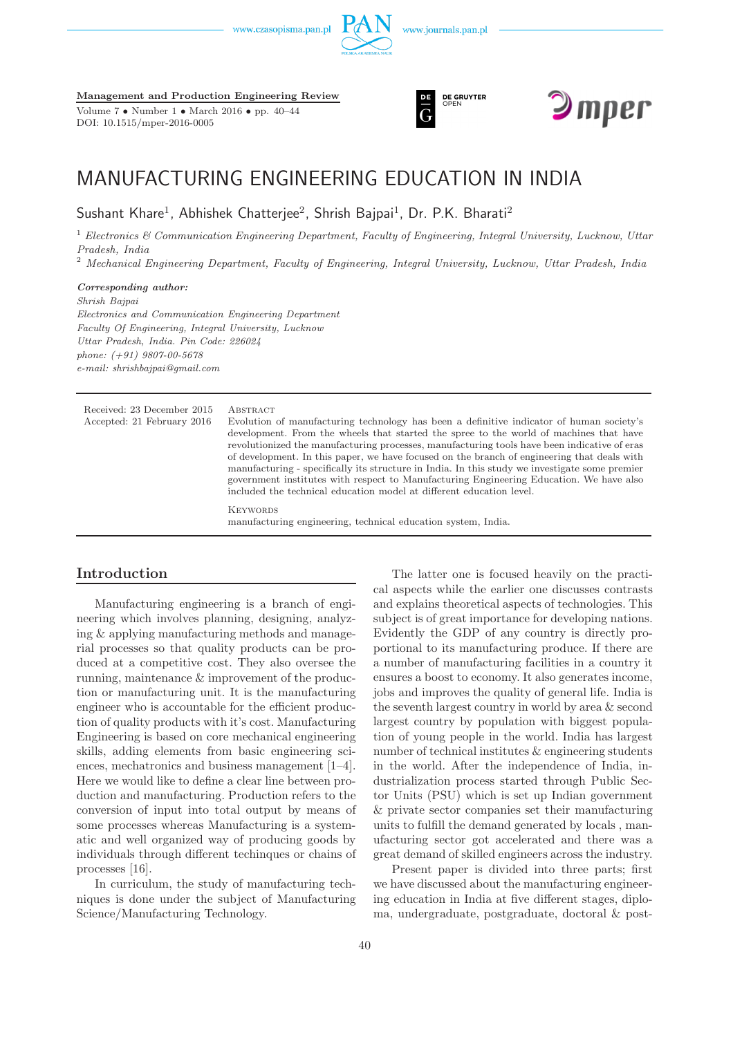



Volume 7 • Number 1 • March 2016 • pp. 40–44 DOI: 10.1515/mper-2016-0005





# MANUFACTURING ENGINEERING EDUCATION IN INDIA

 $S$ ushant Khare $^1$ , Abhishek Chatterjee $^2$ , Shrish Bajpai $^1$ , Dr. P.K. Bharati $^2$ 

<sup>1</sup> *Electronics & Communication Engineering Department, Faculty of Engineering, Integral University, Lucknow, Uttar Pradesh, India*

<sup>2</sup> *Mechanical Engineering Department, Faculty of Engineering, Integral University, Lucknow, Uttar Pradesh, India*

*Corresponding author:*

*Shrish Bajpai Electronics and Communication Engineering Department Faculty Of Engineering, Integral University, Lucknow Uttar Pradesh, India. Pin Code: 226024 phone: (+91) 9807-00-5678 e-mail: shrishbajpai@gmail.com*

|  | Received: 23 December 2015 |
|--|----------------------------|
|  | Accepted: 21 February 2016 |

ABSTRACT

Evolution of manufacturing technology has been a definitive indicator of human society's development. From the wheels that started the spree to the world of machines that have revolutionized the manufacturing processes, manufacturing tools have been indicative of eras of development. In this paper, we have focused on the branch of engineering that deals with manufacturing - specifically its structure in India. In this study we investigate some premier government institutes with respect to Manufacturing Engineering Education. We have also included the technical education model at different education level.

**KEYWORDS** manufacturing engineering, technical education system, India.

### **Introduction**

Manufacturing engineering is a branch of engineering which involves planning, designing, analyzing & applying manufacturing methods and managerial processes so that quality products can be produced at a competitive cost. They also oversee the running, maintenance & improvement of the production or manufacturing unit. It is the manufacturing engineer who is accountable for the efficient production of quality products with it's cost. Manufacturing Engineering is based on core mechanical engineering skills, adding elements from basic engineering sciences, mechatronics and business management [1–4]. Here we would like to define a clear line between production and manufacturing. Production refers to the conversion of input into total output by means of some processes whereas Manufacturing is a systematic and well organized way of producing goods by individuals through different techinques or chains of processes [16].

In curriculum, the study of manufacturing techniques is done under the subject of Manufacturing Science/Manufacturing Technology.

The latter one is focused heavily on the practical aspects while the earlier one discusses contrasts and explains theoretical aspects of technologies. This subject is of great importance for developing nations. Evidently the GDP of any country is directly proportional to its manufacturing produce. If there are a number of manufacturing facilities in a country it ensures a boost to economy. It also generates income, jobs and improves the quality of general life. India is the seventh largest country in world by area & second largest country by population with biggest population of young people in the world. India has largest number of technical institutes & engineering students in the world. After the independence of India, industrialization process started through Public Sector Units (PSU) which is set up Indian government & private sector companies set their manufacturing units to fulfill the demand generated by locals , manufacturing sector got accelerated and there was a great demand of skilled engineers across the industry.

Present paper is divided into three parts; first we have discussed about the manufacturing engineering education in India at five different stages, diploma, undergraduate, postgraduate, doctoral & post-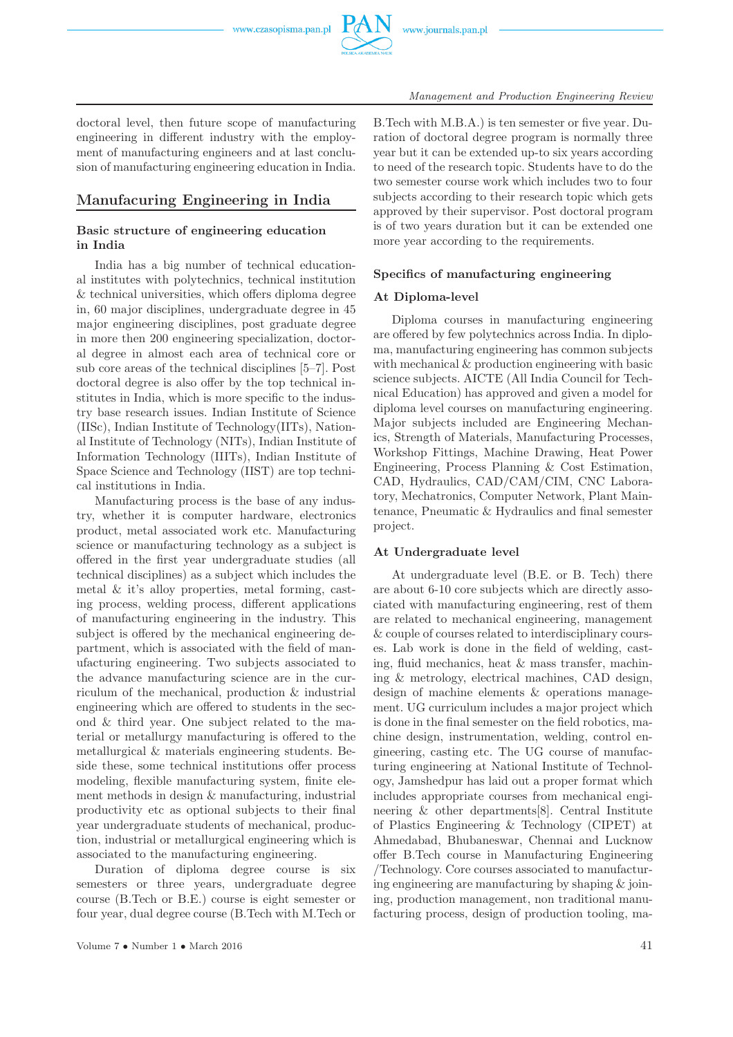

doctoral level, then future scope of manufacturing engineering in different industry with the employment of manufacturing engineers and at last conclusion of manufacturing engineering education in India.

### **Manufacuring Engineering in India**

### **Basic structure of engineering education in India**

India has a big number of technical educational institutes with polytechnics, technical institution & technical universities, which offers diploma degree in, 60 major disciplines, undergraduate degree in 45 major engineering disciplines, post graduate degree in more then 200 engineering specialization, doctoral degree in almost each area of technical core or sub core areas of the technical disciplines [5–7]. Post doctoral degree is also offer by the top technical institutes in India, which is more specific to the industry base research issues. Indian Institute of Science (IISc), Indian Institute of Technology(IITs), National Institute of Technology (NITs), Indian Institute of Information Technology (IIITs), Indian Institute of Space Science and Technology (IIST) are top technical institutions in India.

Manufacturing process is the base of any industry, whether it is computer hardware, electronics product, metal associated work etc. Manufacturing science or manufacturing technology as a subject is offered in the first year undergraduate studies (all technical disciplines) as a subject which includes the metal & it's alloy properties, metal forming, casting process, welding process, different applications of manufacturing engineering in the industry. This subject is offered by the mechanical engineering department, which is associated with the field of manufacturing engineering. Two subjects associated to the advance manufacturing science are in the curriculum of the mechanical, production & industrial engineering which are offered to students in the second & third year. One subject related to the material or metallurgy manufacturing is offered to the metallurgical & materials engineering students. Beside these, some technical institutions offer process modeling, flexible manufacturing system, finite element methods in design & manufacturing, industrial productivity etc as optional subjects to their final year undergraduate students of mechanical, production, industrial or metallurgical engineering which is associated to the manufacturing engineering.

Duration of diploma degree course is six semesters or three years, undergraduate degree course (B.Tech or B.E.) course is eight semester or four year, dual degree course (B.Tech with M.Tech or

Volume  $7 \cdot \text{Number 1} \cdot \text{March 2016}$  41

B.Tech with M.B.A.) is ten semester or five year. Duration of doctoral degree program is normally three year but it can be extended up-to six years according to need of the research topic. Students have to do the two semester course work which includes two to four subjects according to their research topic which gets approved by their supervisor. Post doctoral program is of two years duration but it can be extended one more year according to the requirements.

#### **Specifics of manufacturing engineering**

#### **At Diploma-level**

Diploma courses in manufacturing engineering are offered by few polytechnics across India. In diploma, manufacturing engineering has common subjects with mechanical & production engineering with basic science subjects. AICTE (All India Council for Technical Education) has approved and given a model for diploma level courses on manufacturing engineering. Major subjects included are Engineering Mechanics, Strength of Materials, Manufacturing Processes, Workshop Fittings, Machine Drawing, Heat Power Engineering, Process Planning & Cost Estimation, CAD, Hydraulics, CAD/CAM/CIM, CNC Laboratory, Mechatronics, Computer Network, Plant Maintenance, Pneumatic & Hydraulics and final semester project.

#### **At Undergraduate level**

At undergraduate level (B.E. or B. Tech) there are about 6-10 core subjects which are directly associated with manufacturing engineering, rest of them are related to mechanical engineering, management & couple of courses related to interdisciplinary courses. Lab work is done in the field of welding, casting, fluid mechanics, heat & mass transfer, machining & metrology, electrical machines, CAD design, design of machine elements & operations management. UG curriculum includes a major project which is done in the final semester on the field robotics, machine design, instrumentation, welding, control engineering, casting etc. The UG course of manufacturing engineering at National Institute of Technology, Jamshedpur has laid out a proper format which includes appropriate courses from mechanical engineering & other departments[8]. Central Institute of Plastics Engineering & Technology (CIPET) at Ahmedabad, Bhubaneswar, Chennai and Lucknow offer B.Tech course in Manufacturing Engineering /Technology. Core courses associated to manufacturing engineering are manufacturing by shaping & joining, production management, non traditional manufacturing process, design of production tooling, ma-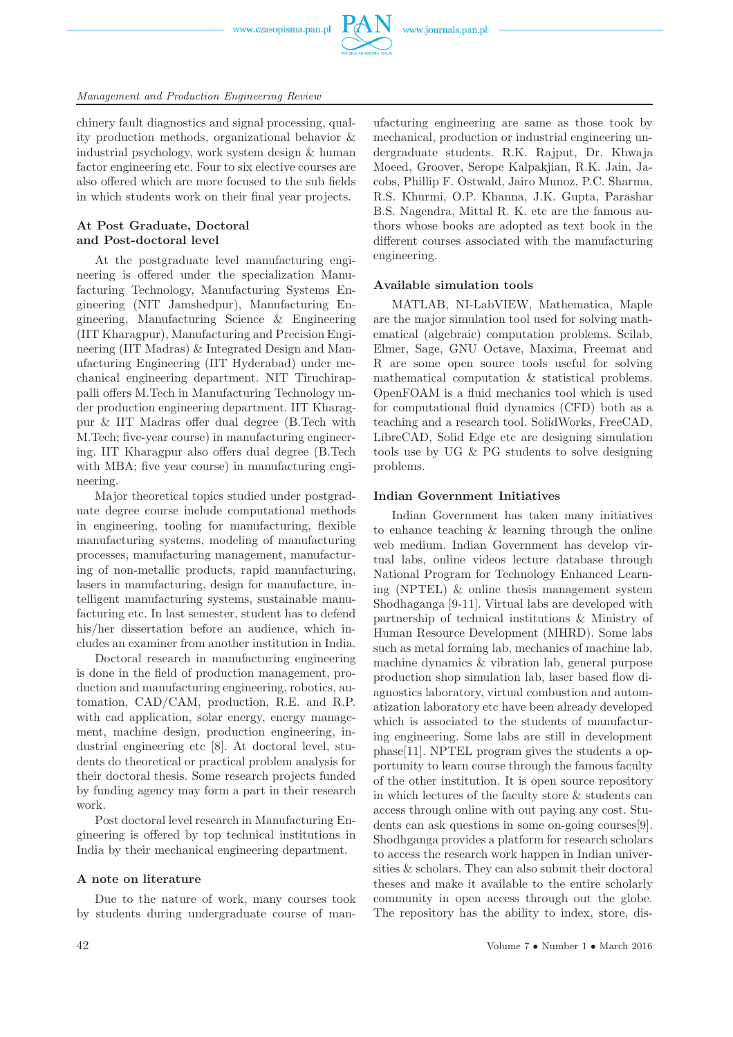

# *Management and Production Engineering Review*

chinery fault diagnostics and signal processing, quality production methods, organizational behavior & industrial psychology, work system design & human factor engineering etc. Four to six elective courses are also offered which are more focused to the sub fields in which students work on their final year projects.

# **At Post Graduate, Doctoral and Post-doctoral level**

At the postgraduate level manufacturing engineering is offered under the specialization Manufacturing Technology, Manufacturing Systems Engineering (NIT Jamshedpur), Manufacturing Engineering, Manufacturing Science & Engineering (IIT Kharagpur), Manufacturing and Precision Engineering (IIT Madras) & Integrated Design and Manufacturing Engineering (IIT Hyderabad) under mechanical engineering department. NIT Tiruchirappalli offers M.Tech in Manufacturing Technology under production engineering department. IIT Kharagpur & IIT Madras offer dual degree (B.Tech with M.Tech; five-year course) in manufacturing engineering. IIT Kharagpur also offers dual degree (B.Tech with MBA; five year course) in manufacturing engineering.

Major theoretical topics studied under postgraduate degree course include computational methods in engineering, tooling for manufacturing, flexible manufacturing systems, modeling of manufacturing processes, manufacturing management, manufacturing of non-metallic products, rapid manufacturing, lasers in manufacturing, design for manufacture, intelligent manufacturing systems, sustainable manufacturing etc. In last semester, student has to defend his/her dissertation before an audience, which includes an examiner from another institution in India.

Doctoral research in manufacturing engineering is done in the field of production management, production and manufacturing engineering, robotics, automation, CAD/CAM, production, R.E. and R.P. with cad application, solar energy, energy management, machine design, production engineering, industrial engineering etc [8]. At doctoral level, students do theoretical or practical problem analysis for their doctoral thesis. Some research projects funded by funding agency may form a part in their research work.

Post doctoral level research in Manufacturing Engineering is offered by top technical institutions in India by their mechanical engineering department.

# **A note on literature**

Due to the nature of work, many courses took by students during undergraduate course of man-

ufacturing engineering are same as those took by mechanical, production or industrial engineering undergraduate students. R.K. Rajput, Dr. Khwaja Moeed, Groover, Serope Kalpakjian, R.K. Jain, Jacobs, Phillip F. Ostwald, Jairo Munoz, P.C. Sharma, R.S. Khurmi, O.P. Khanna, J.K. Gupta, Parashar B.S. Nagendra, Mittal R. K. etc are the famous authors whose books are adopted as text book in the different courses associated with the manufacturing engineering.

# **Available simulation tools**

MATLAB, NI-LabVIEW, Mathematica, Maple are the major simulation tool used for solving mathematical (algebraic) computation problems. Scilab, Elmer, Sage, GNU Octave, Maxima, Freemat and R are some open source tools useful for solving mathematical computation & statistical problems. OpenFOAM is a fluid mechanics tool which is used for computational fluid dynamics (CFD) both as a teaching and a research tool. SolidWorks, FreeCAD, LibreCAD, Solid Edge etc are designing simulation tools use by UG & PG students to solve designing problems.

# **Indian Government Initiatives**

Indian Government has taken many initiatives to enhance teaching & learning through the online web medium. Indian Government has develop virtual labs, online videos lecture database through National Program for Technology Enhanced Learning (NPTEL) & online thesis management system Shodhaganga [9-11]. Virtual labs are developed with partnership of technical institutions & Ministry of Human Resource Development (MHRD). Some labs such as metal forming lab, mechanics of machine lab, machine dynamics & vibration lab, general purpose production shop simulation lab, laser based flow diagnostics laboratory, virtual combustion and automatization laboratory etc have been already developed which is associated to the students of manufacturing engineering. Some labs are still in development phase[11]. NPTEL program gives the students a opportunity to learn course through the famous faculty of the other institution. It is open source repository in which lectures of the faculty store & students can access through online with out paying any cost. Students can ask questions in some on-going courses[9]. Shodhganga provides a platform for research scholars to access the research work happen in Indian universities & scholars. They can also submit their doctoral theses and make it available to the entire scholarly community in open access through out the globe. The repository has the ability to index, store, dis-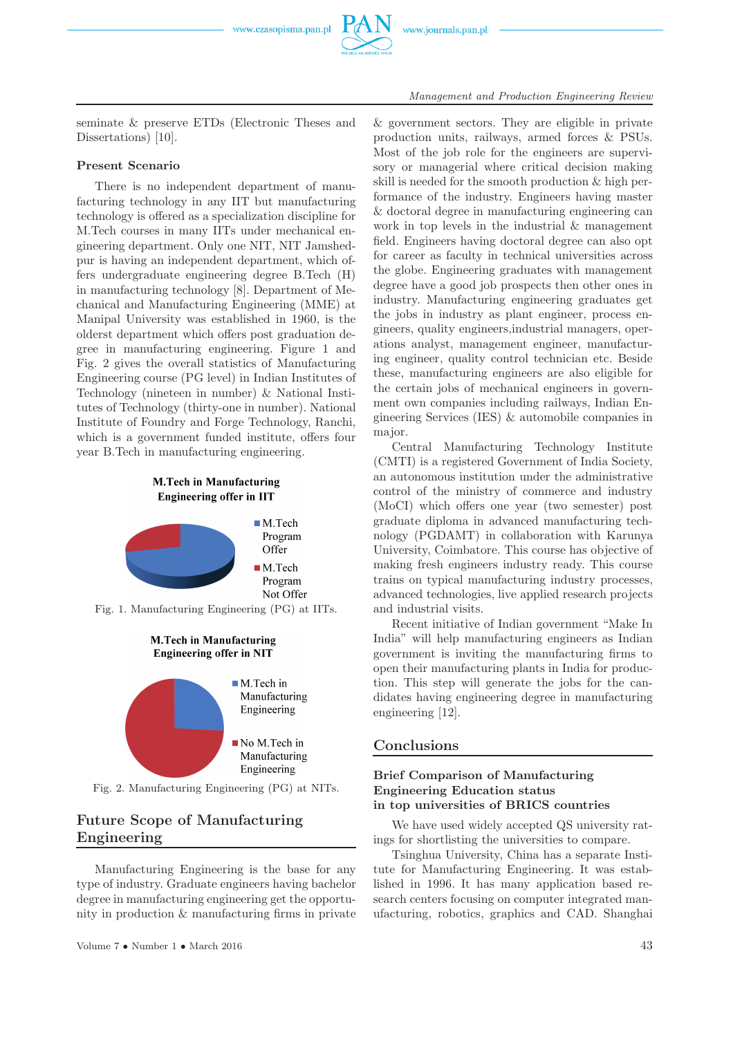

#### *Management and Production Engineering Review*

seminate & preserve ETDs (Electronic Theses and Dissertations) [10].

#### **Present Scenario**

There is no independent department of manufacturing technology in any IIT but manufacturing technology is offered as a specialization discipline for M.Tech courses in many IITs under mechanical engineering department. Only one NIT, NIT Jamshedpur is having an independent department, which offers undergraduate engineering degree B.Tech (H) in manufacturing technology [8]. Department of Mechanical and Manufacturing Engineering (MME) at Manipal University was established in 1960, is the olderst department which offers post graduation degree in manufacturing engineering. Figure 1 and Fig. 2 gives the overall statistics of Manufacturing Engineering course (PG level) in Indian Institutes of Technology (nineteen in number) & National Institutes of Technology (thirty-one in number). National Institute of Foundry and Forge Technology, Ranchi, which is a government funded institute, offers four year B.Tech in manufacturing engineering.





No M.Tech in Manufacturing Engineering

Fig. 2. Manufacturing Engineering (PG) at NITs.

# **Future Scope of Manufacturing Engineering**

Manufacturing Engineering is the base for any type of industry. Graduate engineers having bachelor degree in manufacturing engineering get the opportunity in production & manufacturing firms in private

& government sectors. They are eligible in private production units, railways, armed forces & PSUs. Most of the job role for the engineers are supervisory or managerial where critical decision making skill is needed for the smooth production & high performance of the industry. Engineers having master & doctoral degree in manufacturing engineering can work in top levels in the industrial & management field. Engineers having doctoral degree can also opt for career as faculty in technical universities across the globe. Engineering graduates with management degree have a good job prospects then other ones in industry. Manufacturing engineering graduates get the jobs in industry as plant engineer, process engineers, quality engineers,industrial managers, operations analyst, management engineer, manufacturing engineer, quality control technician etc. Beside these, manufacturing engineers are also eligible for the certain jobs of mechanical engineers in government own companies including railways, Indian Engineering Services (IES) & automobile companies in major.

Central Manufacturing Technology Institute (CMTI) is a registered Government of India Society, an autonomous institution under the administrative control of the ministry of commerce and industry (MoCI) which offers one year (two semester) post graduate diploma in advanced manufacturing technology (PGDAMT) in collaboration with Karunya University, Coimbatore. This course has objective of making fresh engineers industry ready. This course trains on typical manufacturing industry processes, advanced technologies, live applied research projects and industrial visits.

Recent initiative of Indian government "Make In India" will help manufacturing engineers as Indian government is inviting the manufacturing firms to open their manufacturing plants in India for production. This step will generate the jobs for the candidates having engineering degree in manufacturing engineering [12].

### **Conclusions**

### **Brief Comparison of Manufacturing Engineering Education status in top universities of BRICS countries**

We have used widely accepted QS university ratings for shortlisting the universities to compare.

Tsinghua University, China has a separate Institute for Manufacturing Engineering. It was established in 1996. It has many application based research centers focusing on computer integrated manufacturing, robotics, graphics and CAD. Shanghai